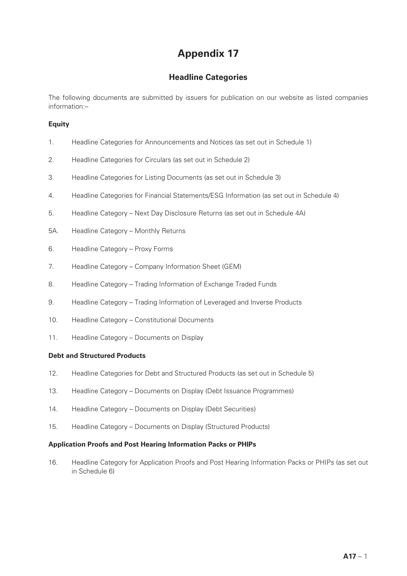# **Appendix 17**

## **Headline Categories**

The following documents are submitted by issuers for publication on our website as listed companies information:–

#### **Equity**

- 1. Headline Categories for Announcements and Notices (as set out in Schedule 1)
- 2. Headline Categories for Circulars (as set out in Schedule 2)
- 3. Headline Categories for Listing Documents (as set out in Schedule 3)
- 4. Headline Categories for Financial Statements/ESG Information (as set out in Schedule 4)
- 5. Headline Category Next Day Disclosure Returns (as set out in Schedule 4A)
- 5A. Headline Category Monthly Returns
- 6. Headline Category Proxy Forms
- 7. Headline Category Company Information Sheet (GEM)
- 8. Headline Category Trading Information of Exchange Traded Funds
- 9. Headline Category Trading Information of Leveraged and Inverse Products
- 10. Headline Category Constitutional Documents
- 11. Headline Category Documents on Display

#### **Debt and Structured Products**

- 12. Headline Categories for Debt and Structured Products (as set out in Schedule 5)
- 13. Headline Category Documents on Display (Debt Issuance Programmes)
- 14. Headline Category Documents on Display (Debt Securities)
- 15. Headline Category Documents on Display (Structured Products)

#### **Application Proofs and Post Hearing Information Packs or PHIPs**

16. Headline Category for Application Proofs and Post Hearing Information Packs or PHIPs (as set out in Schedule 6)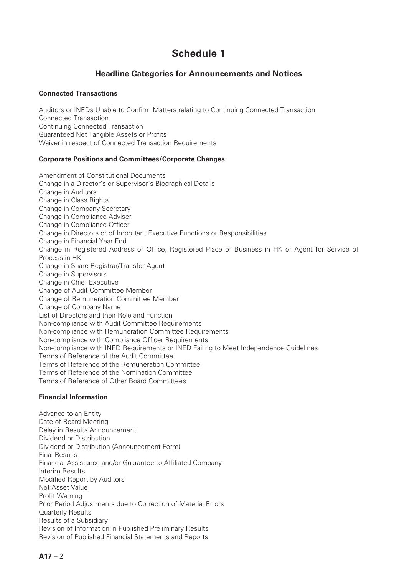### **Headline Categories for Announcements and Notices**

#### **Connected Transactions**

Auditors or INEDs Unable to Confirm Matters relating to Continuing Connected Transaction Connected Transaction Continuing Connected Transaction Guaranteed Net Tangible Assets or Profits Waiver in respect of Connected Transaction Requirements

#### **Corporate Positions and Committees/Corporate Changes**

Amendment of Constitutional Documents Change in a Director's or Supervisor's Biographical Details Change in Auditors Change in Class Rights Change in Company Secretary Change in Compliance Adviser Change in Compliance Officer Change in Directors or of Important Executive Functions or Responsibilities Change in Financial Year End Change in Registered Address or Office, Registered Place of Business in HK or Agent for Service of Process in HK Change in Share Registrar/Transfer Agent Change in Supervisors Change in Chief Executive Change of Audit Committee Member Change of Remuneration Committee Member Change of Company Name List of Directors and their Role and Function Non-compliance with Audit Committee Requirements Non-compliance with Remuneration Committee Requirements Non-compliance with Compliance Officer Requirements Non-compliance with INED Requirements or INED Failing to Meet Independence Guidelines Terms of Reference of the Audit Committee Terms of Reference of the Remuneration Committee Terms of Reference of the Nomination Committee Terms of Reference of Other Board Committees

#### **Financial Information**

Advance to an Entity Date of Board Meeting Delay in Results Announcement Dividend or Distribution Dividend or Distribution (Announcement Form) Final Results Financial Assistance and/or Guarantee to Affiliated Company Interim Results Modified Report by Auditors Net Asset Value Profit Warning Prior Period Adjustments due to Correction of Material Errors Quarterly Results Results of a Subsidiary Revision of Information in Published Preliminary Results Revision of Published Financial Statements and Reports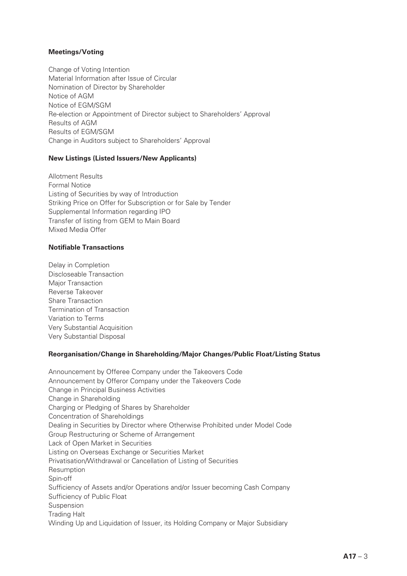#### **Meetings/Voting**

Change of Voting Intention Material Information after Issue of Circular Nomination of Director by Shareholder Notice of AGM Notice of EGM/SGM Re-election or Appointment of Director subject to Shareholders' Approval Results of AGM Results of EGM/SGM Change in Auditors subject to Shareholders' Approval

#### **New Listings (Listed Issuers/New Applicants)**

Allotment Results Formal Notice Listing of Securities by way of Introduction Striking Price on Offer for Subscription or for Sale by Tender Supplemental Information regarding IPO Transfer of listing from GEM to Main Board Mixed Media Offer

#### **Notifiable Transactions**

Delay in Completion Discloseable Transaction Major Transaction Reverse Takeover Share Transaction Termination of Transaction Variation to Terms Very Substantial Acquisition Very Substantial Disposal

#### **Reorganisation/Change in Shareholding/Major Changes/Public Float/Listing Status**

Announcement by Offeree Company under the Takeovers Code Announcement by Offeror Company under the Takeovers Code Change in Principal Business Activities Change in Shareholding Charging or Pledging of Shares by Shareholder Concentration of Shareholdings Dealing in Securities by Director where Otherwise Prohibited under Model Code Group Restructuring or Scheme of Arrangement Lack of Open Market in Securities Listing on Overseas Exchange or Securities Market Privatisation/Withdrawal or Cancellation of Listing of Securities Resumption Spin-off Sufficiency of Assets and/or Operations and/or Issuer becoming Cash Company Sufficiency of Public Float Suspension Trading Halt Winding Up and Liquidation of Issuer, its Holding Company or Major Subsidiary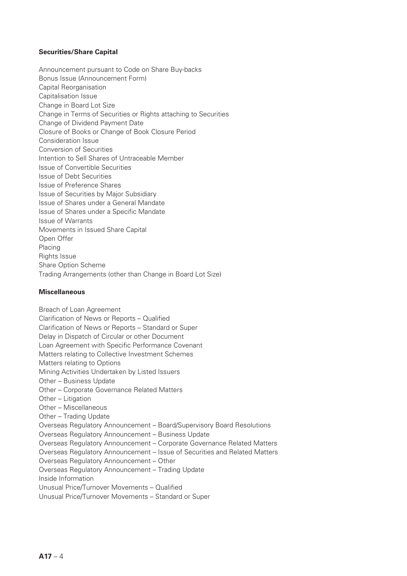#### **Securities/Share Capital**

Announcement pursuant to Code on Share Buy-backs Bonus Issue (Announcement Form) Capital Reorganisation Capitalisation Issue Change in Board Lot Size Change in Terms of Securities or Rights attaching to Securities Change of Dividend Payment Date Closure of Books or Change of Book Closure Period Consideration Issue Conversion of Securities Intention to Sell Shares of Untraceable Member Issue of Convertible Securities Issue of Debt Securities Issue of Preference Shares Issue of Securities by Major Subsidiary Issue of Shares under a General Mandate Issue of Shares under a Specific Mandate Issue of Warrants Movements in Issued Share Capital Open Offer Placing Rights Issue Share Option Scheme Trading Arrangements (other than Change in Board Lot Size)

#### **Miscellaneous**

Breach of Loan Agreement Clarification of News or Reports – Qualified Clarification of News or Reports – Standard or Super Delay in Dispatch of Circular or other Document Loan Agreement with Specific Performance Covenant Matters relating to Collective Investment Schemes Matters relating to Options Mining Activities Undertaken by Listed Issuers Other – Business Update Other – Corporate Governance Related Matters Other – Litigation Other – Miscellaneous Other – Trading Update Overseas Regulatory Announcement – Board/Supervisory Board Resolutions Overseas Regulatory Announcement – Business Update Overseas Regulatory Announcement – Corporate Governance Related Matters Overseas Regulatory Announcement – Issue of Securities and Related Matters Overseas Regulatory Announcement – Other Overseas Regulatory Announcement – Trading Update Inside Information Unusual Price/Turnover Movements – Qualified Unusual Price/Turnover Movements – Standard or Super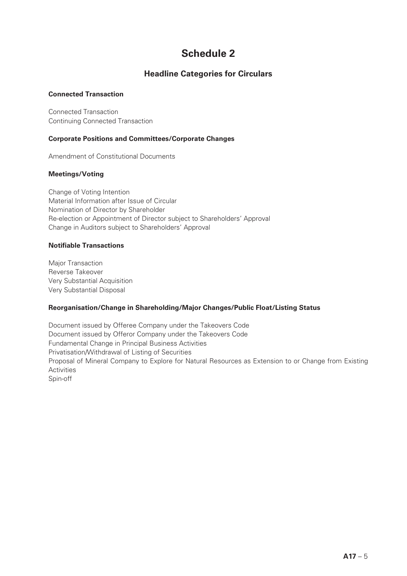## **Headline Categories for Circulars**

#### **Connected Transaction**

Connected Transaction Continuing Connected Transaction

#### **Corporate Positions and Committees/Corporate Changes**

Amendment of Constitutional Documents

#### **Meetings/Voting**

Change of Voting Intention Material Information after Issue of Circular Nomination of Director by Shareholder Re-election or Appointment of Director subject to Shareholders' Approval Change in Auditors subject to Shareholders' Approval

#### **Notifiable Transactions**

Major Transaction Reverse Takeover Very Substantial Acquisition Very Substantial Disposal

#### **Reorganisation/Change in Shareholding/Major Changes/Public Float/Listing Status**

Document issued by Offeree Company under the Takeovers Code Document issued by Offeror Company under the Takeovers Code Fundamental Change in Principal Business Activities Privatisation/Withdrawal of Listing of Securities Proposal of Mineral Company to Explore for Natural Resources as Extension to or Change from Existing Activities Spin-off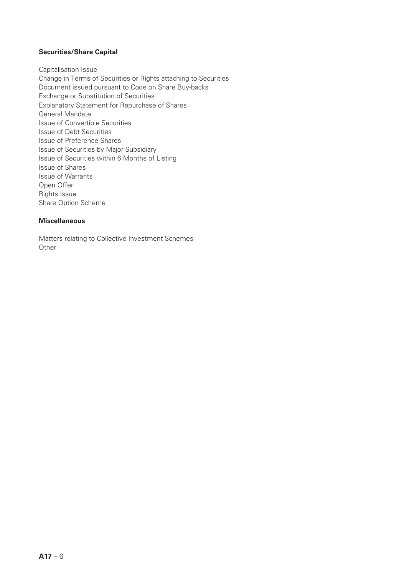#### **Securities/Share Capital**

Capitalisation Issue

Change in Terms of Securities or Rights attaching to Securities Document issued pursuant to Code on Share Buy-backs Exchange or Substitution of Securities Explanatory Statement for Repurchase of Shares General Mandate Issue of Convertible Securities Issue of Debt Securities Issue of Preference Shares Issue of Securities by Major Subsidiary Issue of Securities within 6 Months of Listing Issue of Shares Issue of Warrants Open Offer Rights Issue Share Option Scheme

#### **Miscellaneous**

Matters relating to Collective Investment Schemes **Other**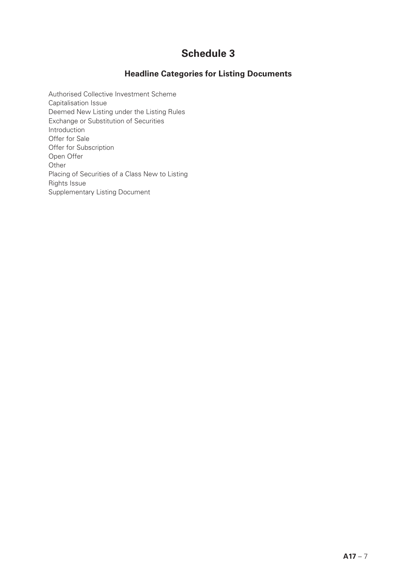## **Headline Categories for Listing Documents**

Authorised Collective Investment Scheme Capitalisation Issue Deemed New Listing under the Listing Rules Exchange or Substitution of Securities Introduction Offer for Sale Offer for Subscription Open Offer **Other** Placing of Securities of a Class New to Listing Rights Issue Supplementary Listing Document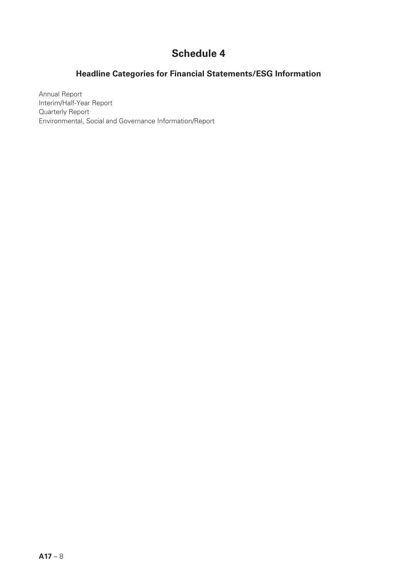## **Headline Categories for Financial Statements/ESG Information**

Annual Report Interim/Half-Year Report Quarterly Report Environmental, Social and Governance Information/Report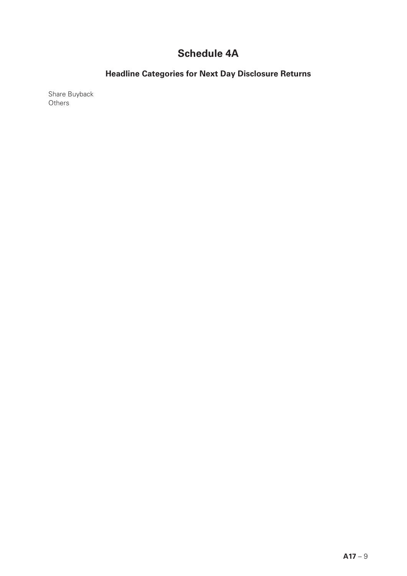# **Schedule 4A**

## **Headline Categories for Next Day Disclosure Returns**

Share Buyback **Others**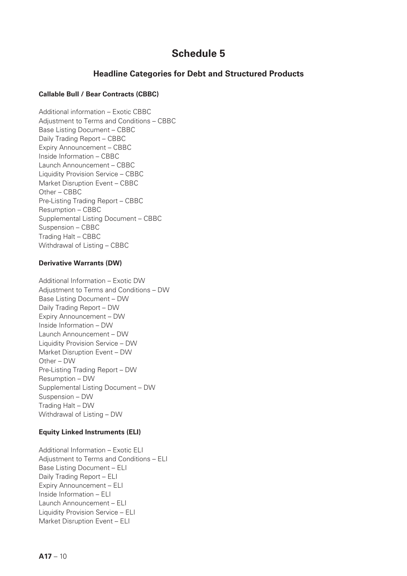### **Headline Categories for Debt and Structured Products**

#### **Callable Bull / Bear Contracts (CBBC)**

Additional information – Exotic CBBC Adjustment to Terms and Conditions – CBBC Base Listing Document – CBBC Daily Trading Report – CBBC Expiry Announcement – CBBC Inside Information – CBBC Launch Announcement – CBBC Liquidity Provision Service – CBBC Market Disruption Event – CBBC Other – CBBC Pre-Listing Trading Report – CBBC Resumption – CBBC Supplemental Listing Document – CBBC Suspension – CBBC Trading Halt – CBBC Withdrawal of Listing – CBBC

#### **Derivative Warrants (DW)**

Additional Information – Exotic DW Adjustment to Terms and Conditions – DW Base Listing Document – DW Daily Trading Report – DW Expiry Announcement – DW Inside Information – DW Launch Announcement – DW Liquidity Provision Service – DW Market Disruption Event – DW Other – DW Pre-Listing Trading Report – DW Resumption – DW Supplemental Listing Document – DW Suspension – DW Trading Halt – DW Withdrawal of Listing – DW

#### **Equity Linked Instruments (ELI)**

Additional Information – Exotic ELI Adjustment to Terms and Conditions – ELI Base Listing Document – ELI Daily Trading Report – ELI Expiry Announcement – ELI Inside Information – ELI Launch Announcement – ELI Liquidity Provision Service – ELI Market Disruption Event – ELI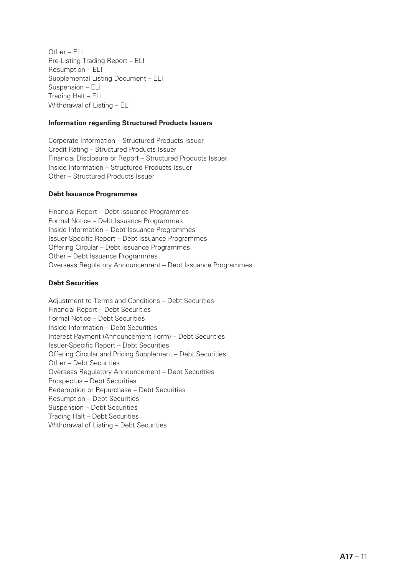Other – ELI Pre-Listing Trading Report – ELI Resumption – ELI Supplemental Listing Document – ELI Suspension – ELI Trading Halt – ELI Withdrawal of Listing – ELI

#### **Information regarding Structured Products Issuers**

Corporate Information – Structured Products Issuer Credit Rating – Structured Products Issuer Financial Disclosure or Report – Structured Products Issuer Inside Information – Structured Products Issuer Other – Structured Products Issuer

#### **Debt Issuance Programmes**

Financial Report – Debt Issuance Programmes Formal Notice – Debt Issuance Programmes Inside Information – Debt Issuance Programmes Issuer-Specific Report – Debt Issuance Programmes Offering Circular – Debt Issuance Programmes Other – Debt Issuance Programmes Overseas Regulatory Announcement – Debt Issuance Programmes

#### **Debt Securities**

Adjustment to Terms and Conditions – Debt Securities Financial Report – Debt Securities Formal Notice – Debt Securities Inside Information – Debt Securities Interest Payment (Announcement Form) – Debt Securities Issuer-Specific Report – Debt Securities Offering Circular and Pricing Supplement – Debt Securities Other – Debt Securities Overseas Regulatory Announcement – Debt Securities Prospectus – Debt Securities Redemption or Repurchase – Debt Securities Resumption – Debt Securities Suspension – Debt Securities Trading Halt – Debt Securities Withdrawal of Listing – Debt Securities